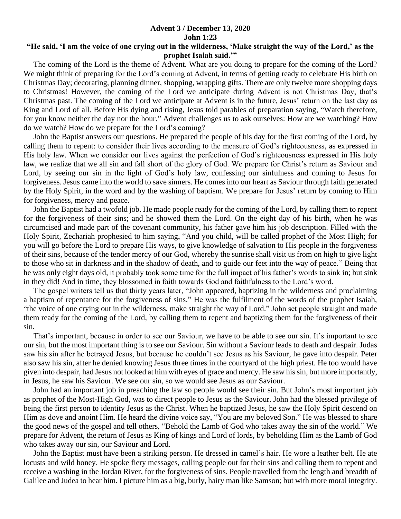## **Advent 3 / December 13, 2020 John 1:23**

## **"He said, 'I am the voice of one crying out in the wilderness, 'Make straight the way of the Lord,' as the prophet Isaiah said.'"**

 The coming of the Lord is the theme of Advent. What are you doing to prepare for the coming of the Lord? We might think of preparing for the Lord's coming at Advent, in terms of getting ready to celebrate His birth on Christmas Day; decorating, planning dinner, shopping, wrapping gifts. There are only twelve more shopping days to Christmas! However, the coming of the Lord we anticipate during Advent is not Christmas Day, that's Christmas past. The coming of the Lord we anticipate at Advent is in the future, Jesus' return on the last day as King and Lord of all. Before His dying and rising, Jesus told parables of preparation saying, "Watch therefore, for you know neither the day nor the hour." Advent challenges us to ask ourselves: How are we watching? How do we watch? How do we prepare for the Lord's coming?

 John the Baptist answers our questions. He prepared the people of his day for the first coming of the Lord, by calling them to repent: to consider their lives according to the measure of God's righteousness, as expressed in His holy law. When we consider our lives against the perfection of God's righteousness expressed in His holy law, we realize that we all sin and fall short of the glory of God. We prepare for Christ's return as Saviour and Lord, by seeing our sin in the light of God's holy law, confessing our sinfulness and coming to Jesus for forgiveness. Jesus came into the world to save sinners. He comes into our heart as Saviour through faith generated by the Holy Spirit, in the word and by the washing of baptism. We prepare for Jesus' return by coming to Him for forgiveness, mercy and peace.

 John the Baptist had a twofold job. He made people ready for the coming of the Lord, by calling them to repent for the forgiveness of their sins; and he showed them the Lord. On the eight day of his birth, when he was circumcised and made part of the covenant community, his father gave him his job description. Filled with the Holy Spirit, Zechariah prophesied to him saying, "And you child, will be called prophet of the Most High; for you will go before the Lord to prepare His ways, to give knowledge of salvation to His people in the forgiveness of their sins, because of the tender mercy of our God, whereby the sunrise shall visit us from on high to give light to those who sit in darkness and in the shadow of death, and to guide our feet into the way of peace." Being that he was only eight days old, it probably took some time for the full impact of his father's words to sink in; but sink in they did! And in time, they blossomed in faith towards God and faithfulness to the Lord's word.

 The gospel writers tell us that thirty years later, "John appeared, baptizing in the wilderness and proclaiming a baptism of repentance for the forgiveness of sins." He was the fulfilment of the words of the prophet Isaiah, "the voice of one crying out in the wilderness, make straight the way of Lord." John set people straight and made them ready for the coming of the Lord, by calling them to repent and baptizing them for the forgiveness of their sin.

 That's important, because in order to see our Saviour, we have to be able to see our sin. It's important to see our sin, but the most important thing is to see our Saviour. Sin without a Saviour leads to death and despair. Judas saw his sin after he betrayed Jesus, but because he couldn't see Jesus as his Saviour, he gave into despair. Peter also saw his sin, after he denied knowing Jesus three times in the courtyard of the high priest. He too would have given into despair, had Jesus not looked at him with eyes of grace and mercy. He saw his sin, but more importantly, in Jesus, he saw his Saviour. We see our sin, so we would see Jesus as our Saviour.

 John had an important job in preaching the law so people would see their sin. But John's most important job as prophet of the Most-High God, was to direct people to Jesus as the Saviour. John had the blessed privilege of being the first person to identity Jesus as the Christ. When he baptized Jesus, he saw the Holy Spirit descend on Him as dove and anoint Him. He heard the divine voice say, "You are my beloved Son." He was blessed to share the good news of the gospel and tell others, "Behold the Lamb of God who takes away the sin of the world." We prepare for Advent, the return of Jesus as King of kings and Lord of lords, by beholding Him as the Lamb of God who takes away our sin, our Saviour and Lord.

 John the Baptist must have been a striking person. He dressed in camel's hair. He wore a leather belt. He ate locusts and wild honey. He spoke fiery messages, calling people out for their sins and calling them to repent and receive a washing in the Jordan River, for the forgiveness of sins. People travelled from the length and breadth of Galilee and Judea to hear him. I picture him as a big, burly, hairy man like Samson; but with more moral integrity.